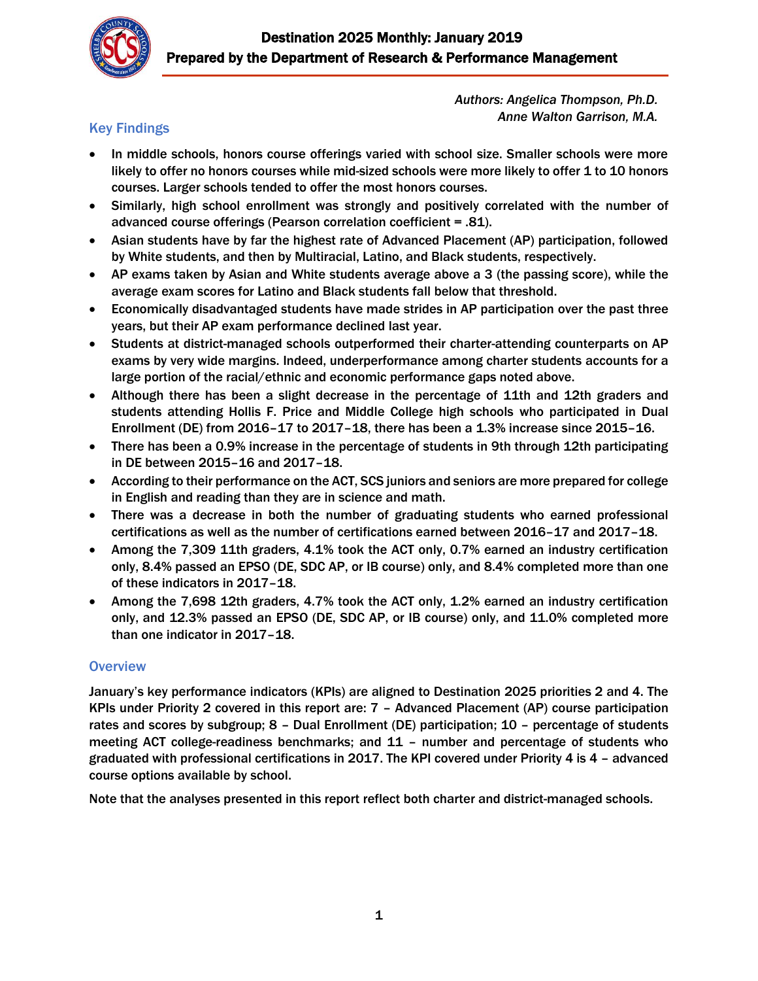

*Authors: Angelica Thompson, Ph.D. Anne Walton Garrison, M.A.*

# Key Findings

- In middle schools, honors course offerings varied with school size. Smaller schools were more likely to offer no honors courses while mid-sized schools were more likely to offer 1 to 10 honors courses. Larger schools tended to offer the most honors courses.
- Similarly, high school enrollment was strongly and positively correlated with the number of advanced course offerings (Pearson correlation coefficient = .81).
- Asian students have by far the highest rate of Advanced Placement (AP) participation, followed by White students, and then by Multiracial, Latino, and Black students, respectively.
- AP exams taken by Asian and White students average above a 3 (the passing score), while the average exam scores for Latino and Black students fall below that threshold.
- Economically disadvantaged students have made strides in AP participation over the past three years, but their AP exam performance declined last year.
- Students at district-managed schools outperformed their charter-attending counterparts on AP exams by very wide margins. Indeed, underperformance among charter students accounts for a large portion of the racial/ethnic and economic performance gaps noted above.
- Although there has been a slight decrease in the percentage of 11th and 12th graders and students attending Hollis F. Price and Middle College high schools who participated in Dual Enrollment (DE) from 2016–17 to 2017–18, there has been a 1.3% increase since 2015–16.
- There has been a 0.9% increase in the percentage of students in 9th through 12th participating in DE between 2015–16 and 2017–18.
- According to their performance on the ACT, SCS juniors and seniors are more prepared for college in English and reading than they are in science and math.
- There was a decrease in both the number of graduating students who earned professional certifications as well as the number of certifications earned between 2016–17 and 2017–18.
- Among the 7,309 11th graders, 4.1% took the ACT only, 0.7% earned an industry certification only, 8.4% passed an EPSO (DE, SDC AP, or IB course) only, and 8.4% completed more than one of these indicators in 2017–18.
- Among the 7,698 12th graders, 4.7% took the ACT only, 1.2% earned an industry certification only, and 12.3% passed an EPSO (DE, SDC AP, or IB course) only, and 11.0% completed more than one indicator in 2017–18.

## **Overview**

January's key performance indicators (KPIs) are aligned to Destination 2025 priorities 2 and 4. The KPIs under Priority 2 covered in this report are: 7 – Advanced Placement (AP) course participation rates and scores by subgroup; 8 – Dual Enrollment (DE) participation; 10 – percentage of students meeting ACT college-readiness benchmarks; and 11 – number and percentage of students who graduated with professional certifications in 2017. The KPI covered under Priority 4 is 4 – advanced course options available by school.

Note that the analyses presented in this report reflect both charter and district-managed schools.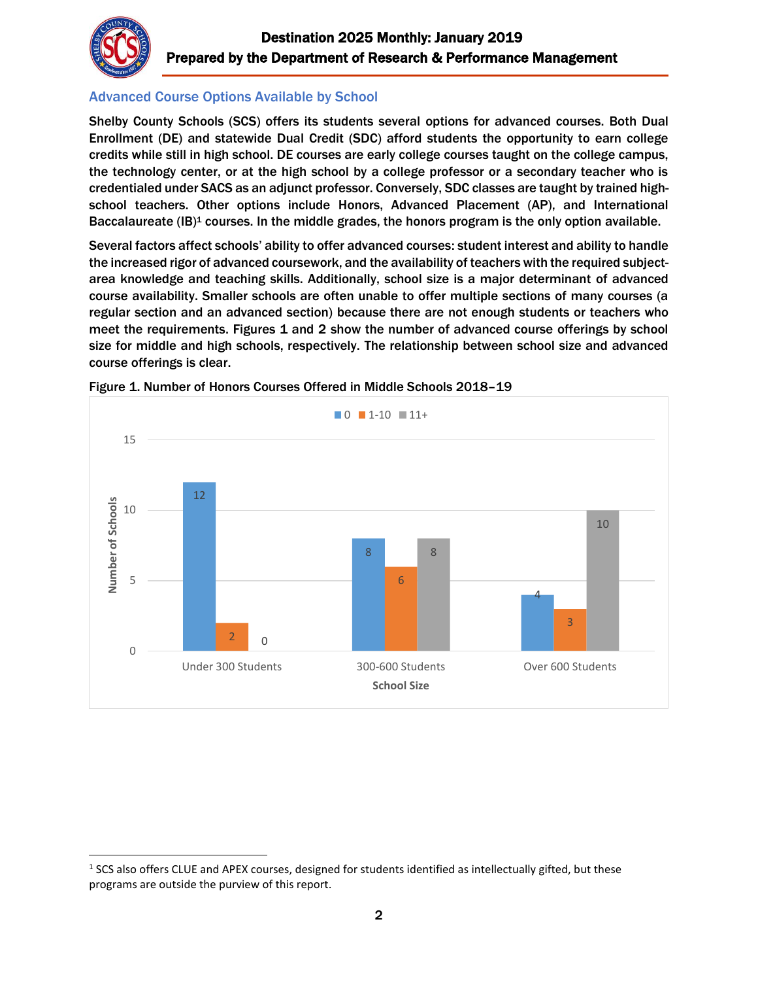

l

# Advanced Course Options Available by School

Shelby County Schools (SCS) offers its students several options for advanced courses. Both Dual Enrollment (DE) and statewide Dual Credit (SDC) afford students the opportunity to earn college credits while still in high school. DE courses are early college courses taught on the college campus, the technology center, or at the high school by a college professor or a secondary teacher who is credentialed under SACS as an adjunct professor. Conversely, SDC classes are taught by trained highschool teachers. Other options include Honors, Advanced Placement (AP), and International Baccalaureate (IB)<sup>1</sup> courses. In the middle grades, the honors program is the only option available.

Several factors affect schools' ability to offer advanced courses: student interest and ability to handle the increased rigor of advanced coursework, and the availability of teachers with the required subjectarea knowledge and teaching skills. Additionally, school size is a major determinant of advanced course availability. Smaller schools are often unable to offer multiple sections of many courses (a regular section and an advanced section) because there are not enough students or teachers who meet the requirements. Figures 1 and 2 show the number of advanced course offerings by school size for middle and high schools, respectively. The relationship between school size and advanced course offerings is clear.



Figure 1. Number of Honors Courses Offered in Middle Schools 2018–19

 $<sup>1</sup>$  SCS also offers CLUE and APEX courses, designed for students identified as intellectually gifted, but these</sup> programs are outside the purview of this report.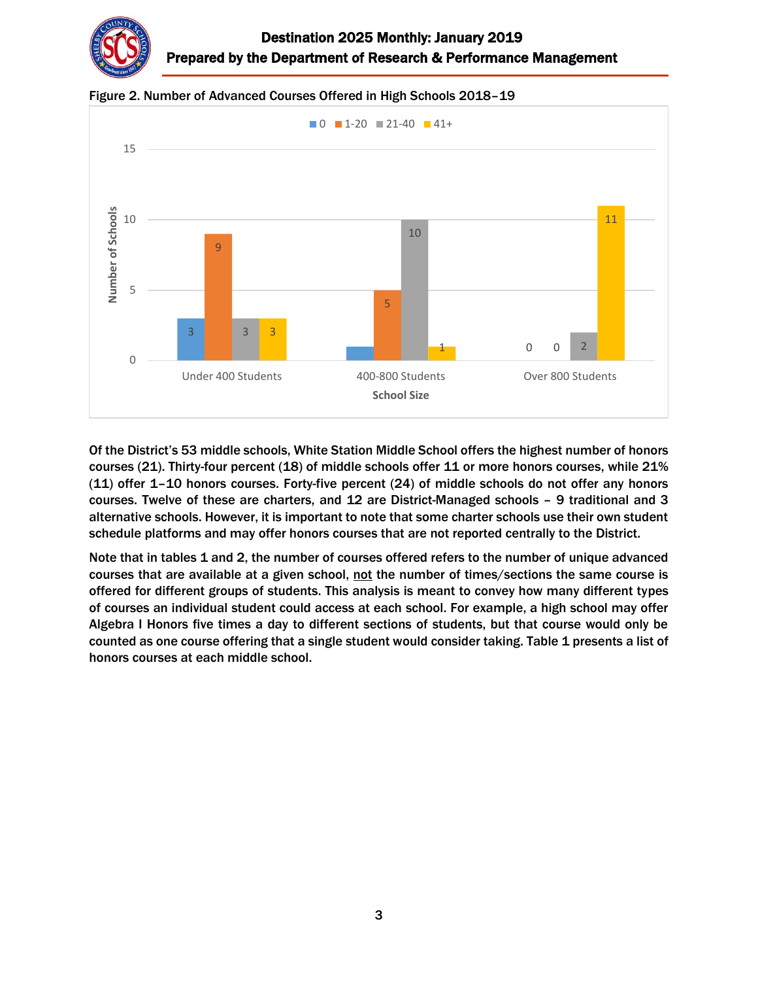



Figure 2. Number of Advanced Courses Offered in High Schools 2018–19

Of the District's 53 middle schools, White Station Middle School offers the highest number of honors courses (21). Thirty-four percent (18) of middle schools offer 11 or more honors courses, while 21% (11) offer 1–10 honors courses. Forty-five percent (24) of middle schools do not offer any honors courses. Twelve of these are charters, and 12 are District-Managed schools – 9 traditional and 3 alternative schools. However, it is important to note that some charter schools use their own student schedule platforms and may offer honors courses that are not reported centrally to the District.

Note that in tables 1 and 2, the number of courses offered refers to the number of unique advanced courses that are available at a given school, not the number of times/sections the same course is offered for different groups of students. This analysis is meant to convey how many different types of courses an individual student could access at each school. For example, a high school may offer Algebra I Honors five times a day to different sections of students, but that course would only be counted as one course offering that a single student would consider taking. Table 1 presents a list of honors courses at each middle school.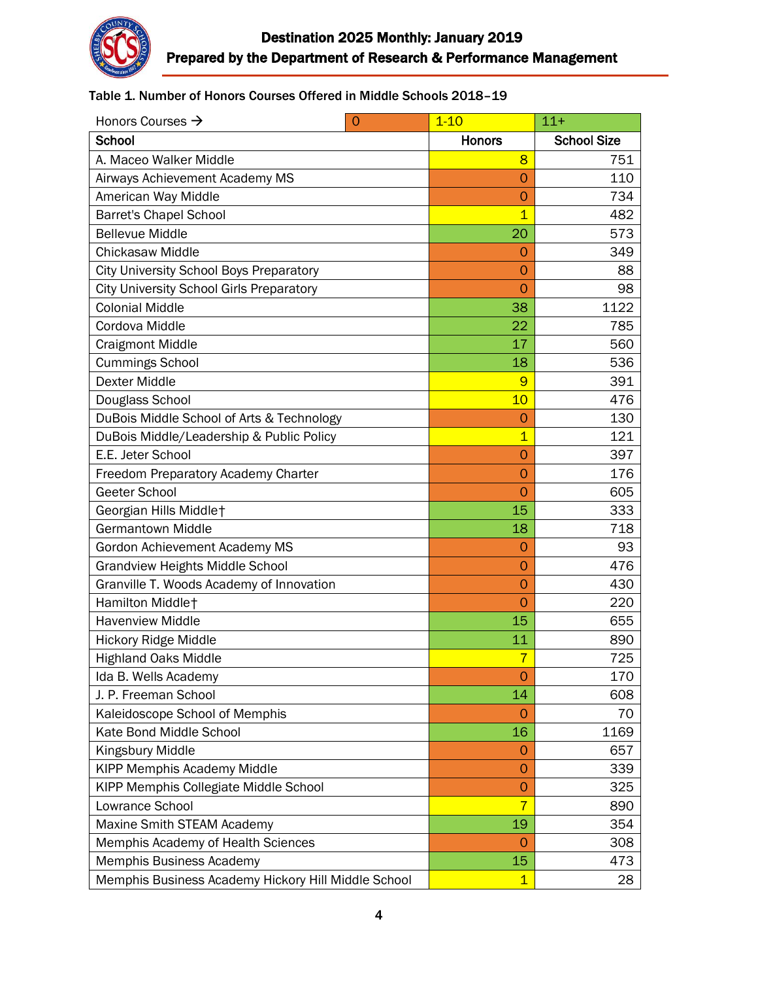

## Table 1. Number of Honors Courses Offered in Middle Schools 2018–19

| Honors Courses $\rightarrow$<br>$\overline{0}$      | $1 - 10$       | $11+$              |
|-----------------------------------------------------|----------------|--------------------|
| School                                              | <b>Honors</b>  | <b>School Size</b> |
| A. Maceo Walker Middle                              | 8              | 751                |
| Airways Achievement Academy MS                      | $\overline{O}$ | 110                |
| American Way Middle                                 | $\mathbf 0$    | 734                |
| <b>Barret's Chapel School</b>                       | $\overline{1}$ | 482                |
| <b>Bellevue Middle</b>                              | 20             | 573                |
| Chickasaw Middle                                    | $\overline{O}$ | 349                |
| <b>City University School Boys Preparatory</b>      | $\overline{0}$ | 88                 |
| <b>City University School Girls Preparatory</b>     | $\overline{0}$ | 98                 |
| <b>Colonial Middle</b>                              | 38             | 1122               |
| Cordova Middle                                      | 22             | 785                |
| <b>Craigmont Middle</b>                             | 17             | 560                |
| <b>Cummings School</b>                              | 18             | 536                |
| <b>Dexter Middle</b>                                | 9              | 391                |
| Douglass School                                     | 10             | 476                |
| DuBois Middle School of Arts & Technology           | $\overline{O}$ | 130                |
| DuBois Middle/Leadership & Public Policy            | $\overline{1}$ | 121                |
| E.E. Jeter School                                   | $\overline{O}$ | 397                |
| Freedom Preparatory Academy Charter                 | $\overline{O}$ | 176                |
| Geeter School                                       | $\overline{O}$ | 605                |
| Georgian Hills Middlet                              | 15             | 333                |
| <b>Germantown Middle</b>                            | 18             | 718                |
| Gordon Achievement Academy MS                       | $\overline{O}$ | 93                 |
| <b>Grandview Heights Middle School</b>              | $\overline{O}$ | 476                |
| Granville T. Woods Academy of Innovation            | $\overline{O}$ | 430                |
| Hamilton Middlet                                    | $\overline{O}$ | 220                |
| <b>Havenview Middle</b>                             | 15             | 655                |
| <b>Hickory Ridge Middle</b>                         | 11             | 890                |
| <b>Highland Oaks Middle</b>                         | 7              | 725                |
| Ida B. Wells Academy                                | 0              | 170                |
| J. P. Freeman School                                | 14             | 608                |
| Kaleidoscope School of Memphis                      | O              | 70                 |
| Kate Bond Middle School                             | 16             | 1169               |
| Kingsbury Middle                                    | $\Omega$       | 657                |
| <b>KIPP Memphis Academy Middle</b>                  | $\Omega$       | 339                |
| KIPP Memphis Collegiate Middle School               | $\overline{0}$ | 325                |
| Lowrance School                                     | $\overline{7}$ | 890                |
| Maxine Smith STEAM Academy                          | 19             | 354                |
| Memphis Academy of Health Sciences                  | O              | 308                |
| Memphis Business Academy                            | 15             | 473                |
| Memphis Business Academy Hickory Hill Middle School | $\mathbf{1}$   | 28                 |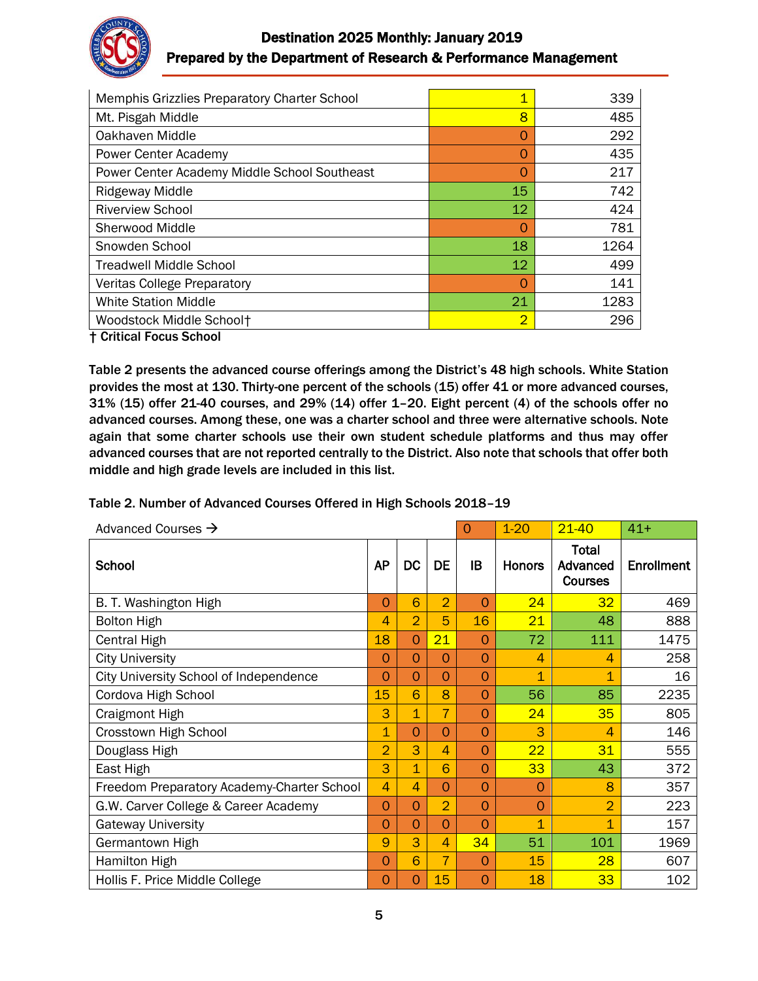

# Destination 2025 Monthly: January 2019 Prepared by the Department of Research & Performance Management

| Memphis Grizzlies Preparatory Charter School | 1              | 339  |
|----------------------------------------------|----------------|------|
| Mt. Pisgah Middle                            | 8              | 485  |
| Oakhaven Middle                              | O              | 292  |
| Power Center Academy                         | O              | 435  |
| Power Center Academy Middle School Southeast | $\Omega$       | 217  |
| <b>Ridgeway Middle</b>                       | 15             | 742  |
| <b>Riverview School</b>                      | 12             | 424  |
| Sherwood Middle                              | $\Omega$       | 781  |
| Snowden School                               | 18             | 1264 |
| <b>Treadwell Middle School</b>               | 12             | 499  |
| <b>Veritas College Preparatory</b>           | $\Omega$       | 141  |
| <b>White Station Middle</b>                  | 21             | 1283 |
| Woodstock Middle School+                     | $\overline{2}$ | 296  |
| <b>† Critical Focus School</b>               |                |      |

Table 2 presents the advanced course offerings among the District's 48 high schools. White Station provides the most at 130. Thirty-one percent of the schools (15) offer 41 or more advanced courses, 31% (15) offer 21-40 courses, and 29% (14) offer 1–20. Eight percent (4) of the schools offer no advanced courses. Among these, one was a charter school and three were alternative schools. Note again that some charter schools use their own student schedule platforms and thus may offer advanced courses that are not reported centrally to the District. Also note that schools that offer both middle and high grade levels are included in this list.

#### Table 2. Number of Advanced Courses Offered in High Schools 2018–19

| Advanced Courses $\rightarrow$             |                |                | $\Omega$       | $1 - 20$ | $21 - 40$      | $41+$                               |                   |
|--------------------------------------------|----------------|----------------|----------------|----------|----------------|-------------------------------------|-------------------|
| School                                     | <b>AP</b>      | <b>DC</b>      | <b>DE</b>      | IB       | <b>Honors</b>  | Total<br>Advanced<br><b>Courses</b> | <b>Enrollment</b> |
| B. T. Washington High                      | $\Omega$       | 6              | $\overline{2}$ | O        | 24             | 32                                  | 469               |
| <b>Bolton High</b>                         | 4              | $\overline{2}$ | 5              | 16       | 21             | 48                                  | 888               |
| Central High                               | 18             | $\Omega$       | 21             | O        | 72             | 111                                 | 1475              |
| <b>City University</b>                     | $\Omega$       | $\Omega$       | $\Omega$       | $\Omega$ | 4              | 4                                   | 258               |
| City University School of Independence     | $\overline{O}$ | $\overline{0}$ | $\Omega$       | 0        | $\overline{1}$ | $\mathbf 1$                         | 16                |
| Cordova High School                        | 15             | 6              | 8              | 0        | 56             | 85                                  | 2235              |
| <b>Craigmont High</b>                      | 3              | 1              | 7              | 0        | 24             | 35                                  | 805               |
| Crosstown High School                      | $\overline{1}$ | $\Omega$       | $\Omega$       | 0        | 3              | $\overline{\mathcal{A}}$            | 146               |
| Douglass High                              | $\overline{2}$ | 3              | $\overline{4}$ | 0        | 22             | 31                                  | 555               |
| East High                                  | 3              | $\overline{1}$ | 6              | $\Omega$ | 33             | 43                                  | 372               |
| Freedom Preparatory Academy-Charter School | $\overline{4}$ | $\overline{4}$ | $\Omega$       | 0        | $\overline{0}$ | 8                                   | 357               |
| G.W. Carver College & Career Academy       | $\Omega$       | $\Omega$       | $\overline{2}$ | $\Omega$ | $\Omega$       | $\overline{2}$                      | 223               |
| <b>Gateway University</b>                  | $\overline{0}$ | $\Omega$       | $\Omega$       | 0        | $\overline{1}$ | 1                                   | 157               |
| Germantown High                            | 9              | 3              | $\overline{4}$ | 34       | 51             | 101                                 | 1969              |
| <b>Hamilton High</b>                       | 0              | 6              | $\overline{7}$ | $\Omega$ | 15             | 28                                  | 607               |
| Hollis F. Price Middle College             | $\Omega$       | 0              | 15             | O        | 18             | 33                                  | 102               |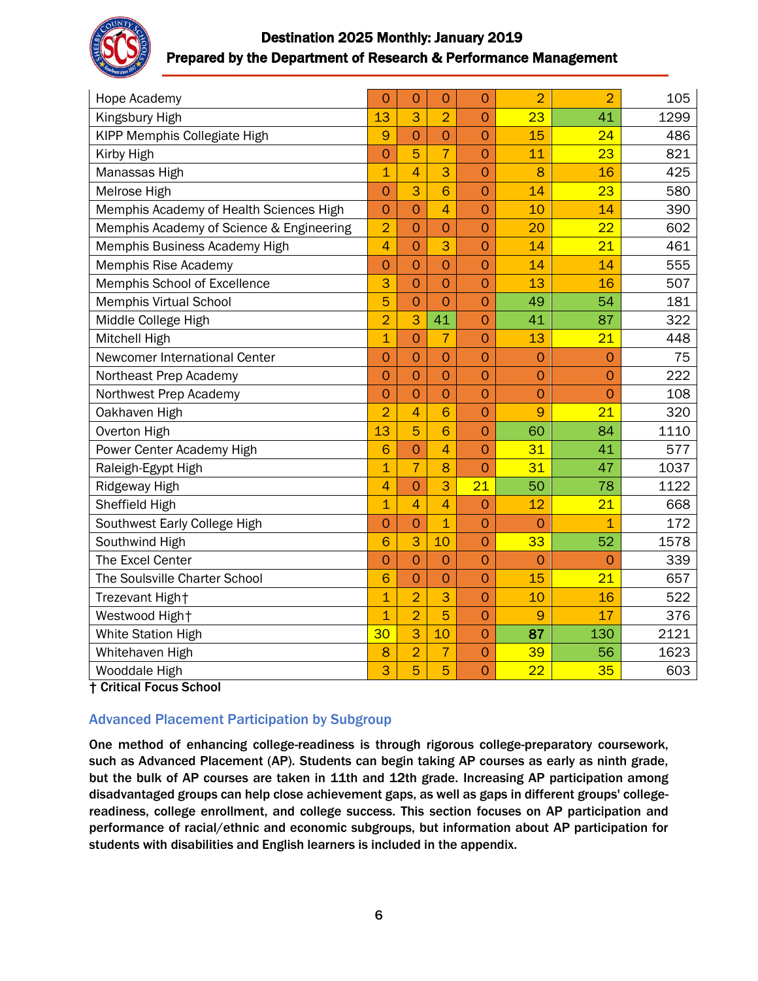

# Destination 2025 Monthly: January 2019 Prepared by the Department of Research & Performance Management

| Hope Academy                             | $\overline{O}$ | $\overline{O}$ | $\overline{0}$ | $\overline{O}$ | $\overline{2}$ | $\overline{2}$ | 105  |
|------------------------------------------|----------------|----------------|----------------|----------------|----------------|----------------|------|
| Kingsbury High                           | 13             | 3              | $\overline{2}$ | $\overline{0}$ | 23             | 41             | 1299 |
| KIPP Memphis Collegiate High             | 9              | $\overline{O}$ | $\overline{0}$ | $\overline{O}$ | 15             | 24             | 486  |
| Kirby High                               | $\overline{O}$ | 5              | $\overline{7}$ | $\overline{O}$ | 11             | 23             | 821  |
| Manassas High                            | $\overline{1}$ | $\overline{4}$ | 3              | $\overline{O}$ | 8              | 16             | 425  |
| Melrose High                             | $\overline{O}$ | 3              | 6              | $\overline{O}$ | 14             | 23             | 580  |
| Memphis Academy of Health Sciences High  | $\overline{O}$ | $\overline{O}$ | $\overline{4}$ | $\overline{O}$ | 10             | 14             | 390  |
| Memphis Academy of Science & Engineering | $\overline{2}$ | $\overline{O}$ | $\overline{O}$ | $\overline{O}$ | 20             | 22             | 602  |
| Memphis Business Academy High            | $\overline{4}$ | $\overline{O}$ | 3              | $\mathbf 0$    | 14             | 21             | 461  |
| Memphis Rise Academy                     | $\overline{O}$ | $\overline{O}$ | $\overline{O}$ | $\overline{O}$ | 14             | 14             | 555  |
| Memphis School of Excellence             | 3              | $\overline{O}$ | $\overline{O}$ | $\overline{O}$ | 13             | 16             | 507  |
| <b>Memphis Virtual School</b>            | 5              | $\overline{O}$ | $\overline{O}$ | $\overline{O}$ | 49             | 54             | 181  |
| Middle College High                      | $\overline{2}$ | 3              | 41             | $\overline{0}$ | 41             | 87             | 322  |
| Mitchell High                            | $\overline{1}$ | $\overline{O}$ | $\overline{7}$ | $\overline{O}$ | 13             | 21             | 448  |
| Newcomer International Center            | $\overline{O}$ | $\overline{O}$ | $\overline{O}$ | $\overline{O}$ | $\overline{O}$ | $\overline{O}$ | 75   |
| Northeast Prep Academy                   | $\overline{O}$ | $\overline{O}$ | $\overline{O}$ | $\overline{O}$ | $\overline{O}$ | $\overline{O}$ | 222  |
| Northwest Prep Academy                   | $\overline{O}$ | $\overline{O}$ | $\overline{O}$ | $\overline{O}$ | $\overline{O}$ | $\overline{O}$ | 108  |
| Oakhaven High                            | $\overline{2}$ | $\overline{4}$ | 6              | $\overline{0}$ | 9              | 21             | 320  |
| Overton High                             | 13             | 5              | $\overline{6}$ | $\overline{O}$ | 60             | 84             | 1110 |
| Power Center Academy High                | 6              | $\overline{O}$ | $\overline{4}$ | $\overline{O}$ | 31             | 41             | 577  |
| Raleigh-Egypt High                       | $\overline{1}$ | $\overline{7}$ | 8              | $\overline{O}$ | 31             | 47             | 1037 |
| Ridgeway High                            | $\overline{4}$ | $\overline{O}$ | 3              | 21             | 50             | 78             | 1122 |
| Sheffield High                           | $\overline{1}$ | $\overline{4}$ | $\overline{4}$ | $\overline{O}$ | 12             | 21             | 668  |
| Southwest Early College High             | $\overline{O}$ | $\overline{O}$ | $\overline{1}$ | $\overline{0}$ | $\overline{O}$ | $\overline{1}$ | 172  |
| Southwind High                           | 6              | 3              | 10             | $\overline{O}$ | 33             | 52             | 1578 |
| The Excel Center                         | $\overline{O}$ | $\overline{O}$ | $\overline{0}$ | $\overline{0}$ | $\overline{O}$ | $\overline{O}$ | 339  |
| The Soulsville Charter School            | 6              | $\overline{O}$ | $\overline{O}$ | $\overline{0}$ | 15             | 21             | 657  |
| Trezevant High+                          | $\overline{1}$ | $\overline{2}$ | 3              | $\overline{O}$ | 10             | 16             | 522  |
| Westwood High+                           | $\overline{1}$ | $\overline{2}$ | 5              | $\overline{O}$ | 9              | 17             | 376  |
| <b>White Station High</b>                | 30             | 3              | 10             | $\overline{0}$ | 87             | 130            | 2121 |
| Whitehaven High                          | 8              | $\overline{2}$ | $\overline{7}$ | $\overline{O}$ | 39             | 56             | 1623 |
| Wooddale High                            | 3              | 5              | 5              | $\overline{O}$ | 22             | 35             | 603  |

† Critical Focus School

## Advanced Placement Participation by Subgroup

One method of enhancing college-readiness is through rigorous college-preparatory coursework, such as Advanced Placement (AP). Students can begin taking AP courses as early as ninth grade, but the bulk of AP courses are taken in 11th and 12th grade. Increasing AP participation among disadvantaged groups can help close achievement gaps, as well as gaps in different groups' collegereadiness, college enrollment, and college success. This section focuses on AP participation and performance of racial/ethnic and economic subgroups, but information about AP participation for students with disabilities and English learners is included in the appendix.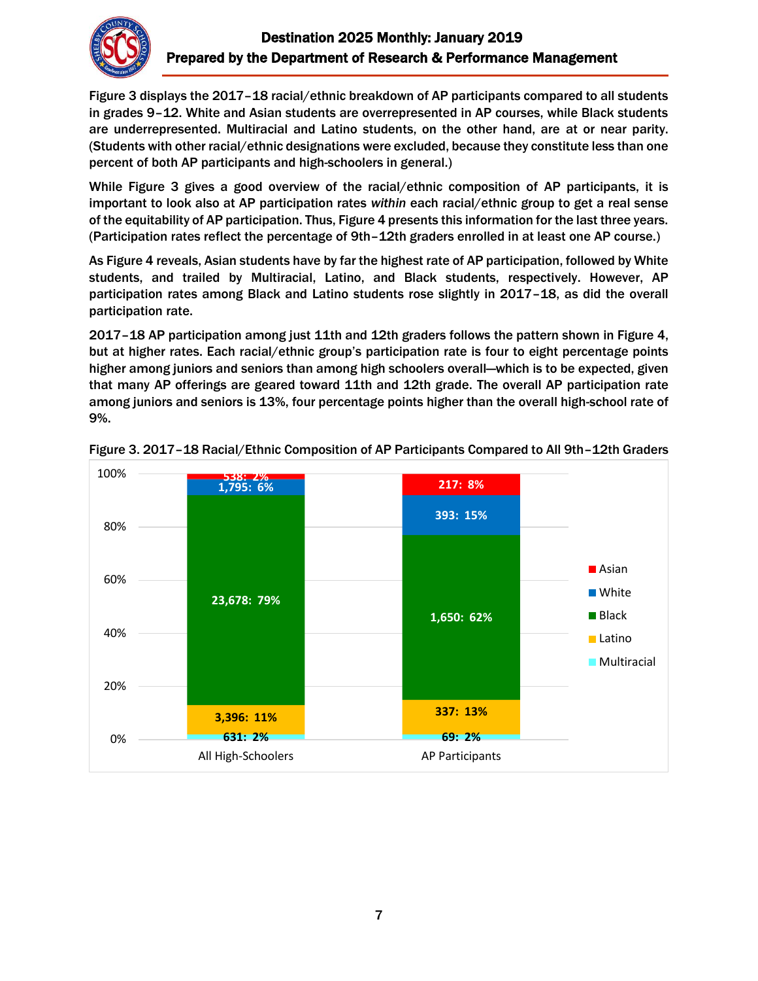

Figure 3 displays the 2017–18 racial/ethnic breakdown of AP participants compared to all students in grades 9–12. White and Asian students are overrepresented in AP courses, while Black students are underrepresented. Multiracial and Latino students, on the other hand, are at or near parity. (Students with other racial/ethnic designations were excluded, because they constitute less than one percent of both AP participants and high-schoolers in general.)

While Figure 3 gives a good overview of the racial/ethnic composition of AP participants, it is important to look also at AP participation rates *within* each racial/ethnic group to get a real sense of the equitability of AP participation. Thus, Figure 4 presents this information for the last three years. (Participation rates reflect the percentage of 9th–12th graders enrolled in at least one AP course.)

As Figure 4 reveals, Asian students have by far the highest rate of AP participation, followed by White students, and trailed by Multiracial, Latino, and Black students, respectively. However, AP participation rates among Black and Latino students rose slightly in 2017–18, as did the overall participation rate.

2017–18 AP participation among just 11th and 12th graders follows the pattern shown in Figure 4, but at higher rates. Each racial/ethnic group's participation rate is four to eight percentage points higher among juniors and seniors than among high schoolers overall—which is to be expected, given that many AP offerings are geared toward 11th and 12th grade. The overall AP participation rate among juniors and seniors is 13%, four percentage points higher than the overall high-school rate of 9%.



Figure 3. 2017–18 Racial/Ethnic Composition of AP Participants Compared to All 9th–12th Graders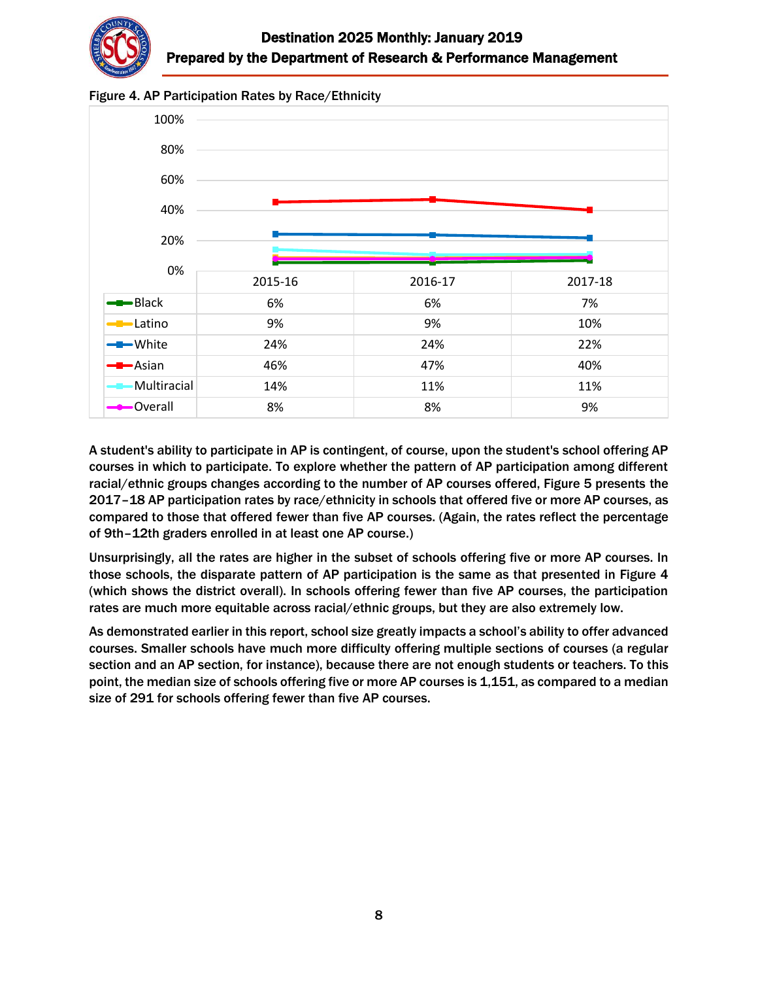



Figure 4. AP Participation Rates by Race/Ethnicity

A student's ability to participate in AP is contingent, of course, upon the student's school offering AP courses in which to participate. To explore whether the pattern of AP participation among different racial/ethnic groups changes according to the number of AP courses offered, Figure 5 presents the 2017–18 AP participation rates by race/ethnicity in schools that offered five or more AP courses, as compared to those that offered fewer than five AP courses. (Again, the rates reflect the percentage of 9th–12th graders enrolled in at least one AP course.)

Unsurprisingly, all the rates are higher in the subset of schools offering five or more AP courses. In those schools, the disparate pattern of AP participation is the same as that presented in Figure 4 (which shows the district overall). In schools offering fewer than five AP courses, the participation rates are much more equitable across racial/ethnic groups, but they are also extremely low.

As demonstrated earlier in this report, school size greatly impacts a school's ability to offer advanced courses. Smaller schools have much more difficulty offering multiple sections of courses (a regular section and an AP section, for instance), because there are not enough students or teachers. To this point, the median size of schools offering five or more AP courses is 1,151, as compared to a median size of 291 for schools offering fewer than five AP courses.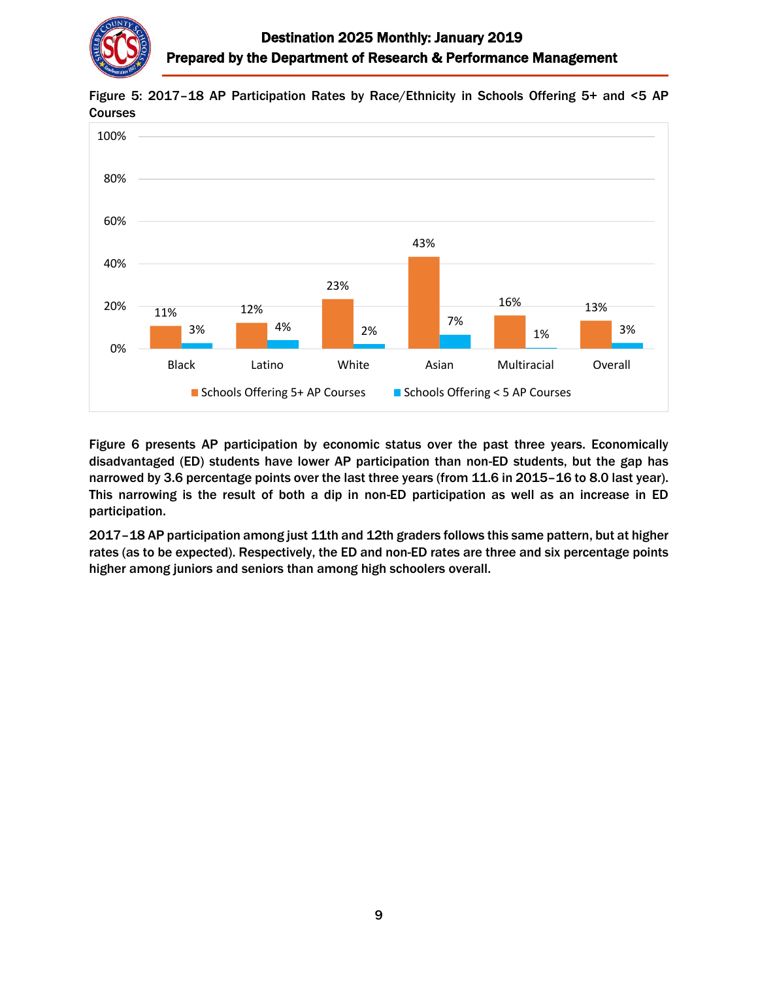

11% 12% 23% 43% 16% 13% 3% 4% 2% 7% 1% 3% 0% 20% 40% 60% 80% 100% Black Latino White Asian Multiracial Overall ■ Schools Offering 5+ AP Courses ■ Schools Offering < 5 AP Courses

Figure 5: 2017–18 AP Participation Rates by Race/Ethnicity in Schools Offering 5+ and <5 AP Courses

Figure 6 presents AP participation by economic status over the past three years. Economically disadvantaged (ED) students have lower AP participation than non-ED students, but the gap has narrowed by 3.6 percentage points over the last three years (from 11.6 in 2015–16 to 8.0 last year). This narrowing is the result of both a dip in non-ED participation as well as an increase in ED participation.

2017–18 AP participation among just 11th and 12th graders follows this same pattern, but at higher rates (as to be expected). Respectively, the ED and non-ED rates are three and six percentage points higher among juniors and seniors than among high schoolers overall.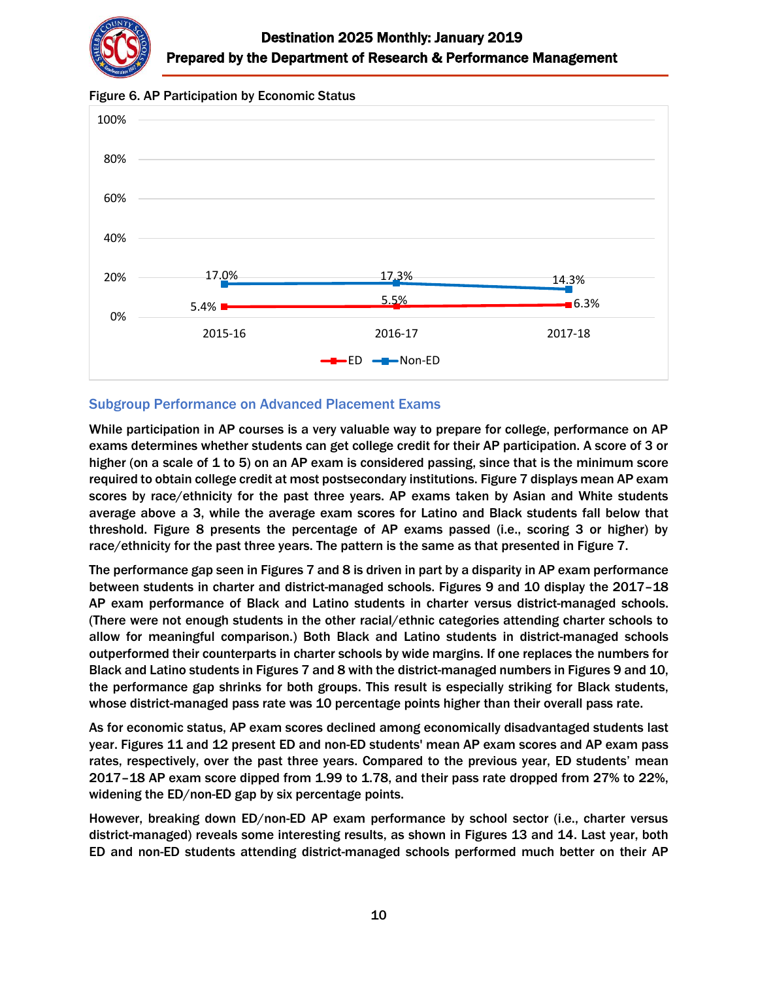

Figure 6. AP Participation by Economic Status



#### Subgroup Performance on Advanced Placement Exams

While participation in AP courses is a very valuable way to prepare for college, performance on AP exams determines whether students can get college credit for their AP participation. A score of 3 or higher (on a scale of 1 to 5) on an AP exam is considered passing, since that is the minimum score required to obtain college credit at most postsecondary institutions. Figure 7 displays mean AP exam scores by race/ethnicity for the past three years. AP exams taken by Asian and White students average above a 3, while the average exam scores for Latino and Black students fall below that threshold. Figure 8 presents the percentage of AP exams passed (i.e., scoring 3 or higher) by race/ethnicity for the past three years. The pattern is the same as that presented in Figure 7.

The performance gap seen in Figures 7 and 8 is driven in part by a disparity in AP exam performance between students in charter and district-managed schools. Figures 9 and 10 display the 2017–18 AP exam performance of Black and Latino students in charter versus district-managed schools. (There were not enough students in the other racial/ethnic categories attending charter schools to allow for meaningful comparison.) Both Black and Latino students in district-managed schools outperformed their counterparts in charter schools by wide margins. If one replaces the numbers for Black and Latino students in Figures 7 and 8 with the district-managed numbers in Figures 9 and 10, the performance gap shrinks for both groups. This result is especially striking for Black students, whose district-managed pass rate was 10 percentage points higher than their overall pass rate.

As for economic status, AP exam scores declined among economically disadvantaged students last year. Figures 11 and 12 present ED and non-ED students' mean AP exam scores and AP exam pass rates, respectively, over the past three years. Compared to the previous year, ED students' mean 2017–18 AP exam score dipped from 1.99 to 1.78, and their pass rate dropped from 27% to 22%, widening the ED/non-ED gap by six percentage points.

However, breaking down ED/non-ED AP exam performance by school sector (i.e., charter versus district-managed) reveals some interesting results, as shown in Figures 13 and 14. Last year, both ED and non-ED students attending district-managed schools performed much better on their AP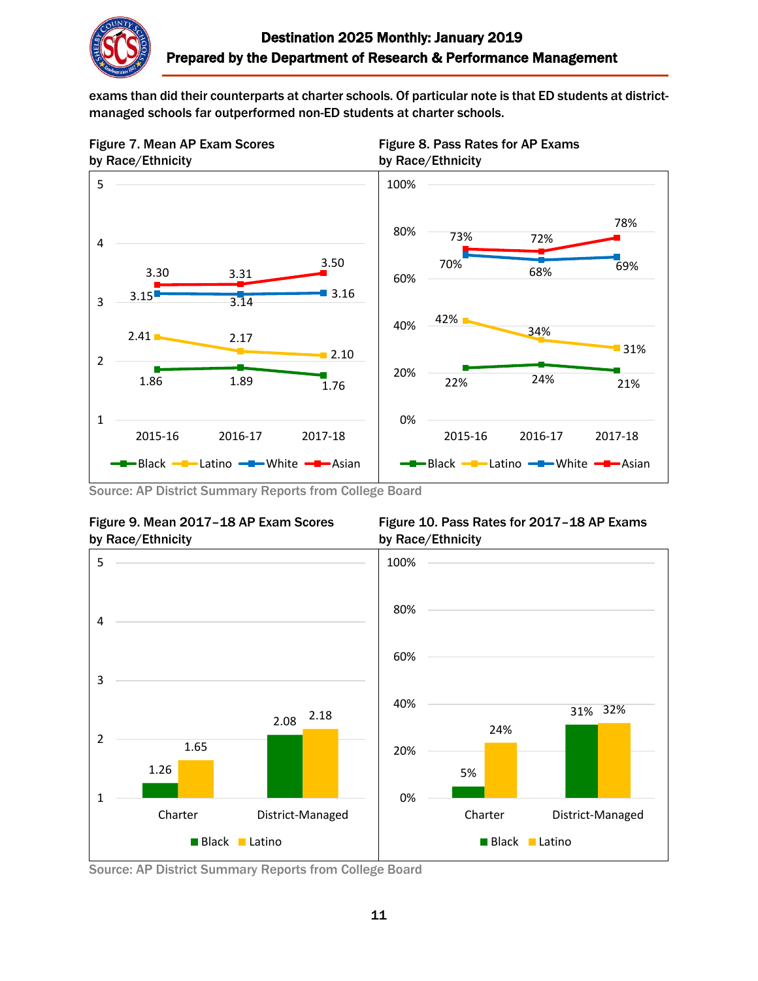

exams than did their counterparts at charter schools. Of particular note is that ED students at districtmanaged schools far outperformed non-ED students at charter schools.









Figure 9. Mean 2017-18 AP Exam Scores Figure 10. Pass Rates for 2017-18 AP Exams



Source: AP District Summary Reports from College Board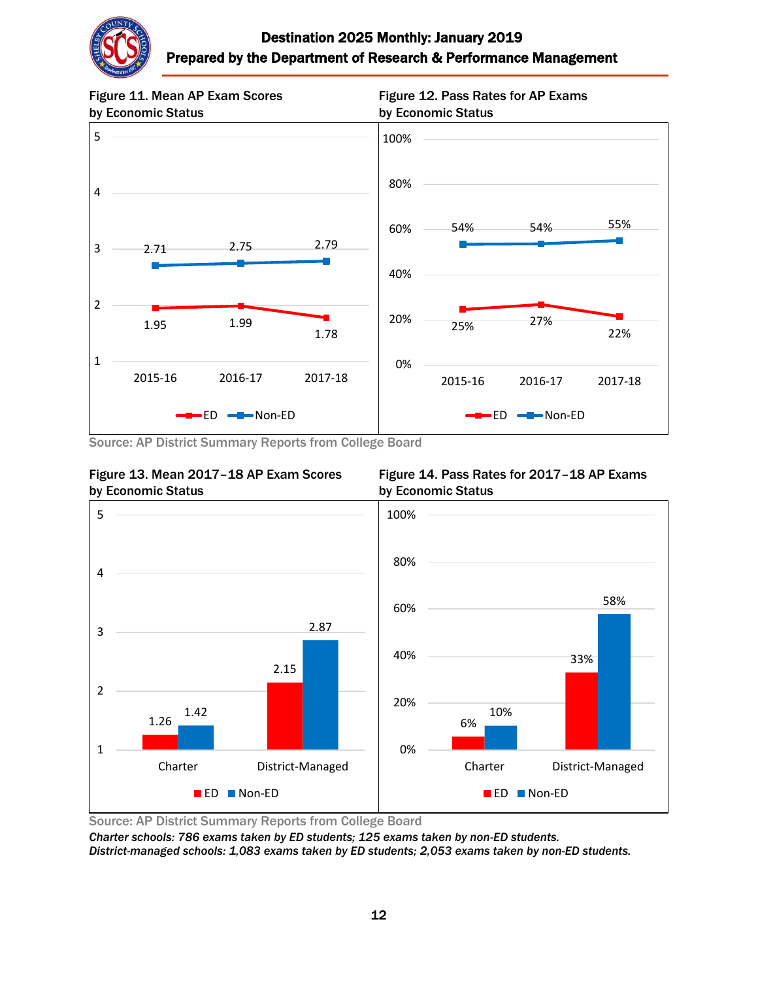



Source: AP District Summary Reports from College Board



Figure 13. Mean 2017-18 AP Exam Scores Figure 14. Pass Rates for 2017-18 AP Exams



Source: AP District Summary Reports from College Board

*Charter schools: 786 exams taken by ED students; 125 exams taken by non-ED students. District-managed schools: 1,083 exams taken by ED students; 2,053 exams taken by non-ED students.*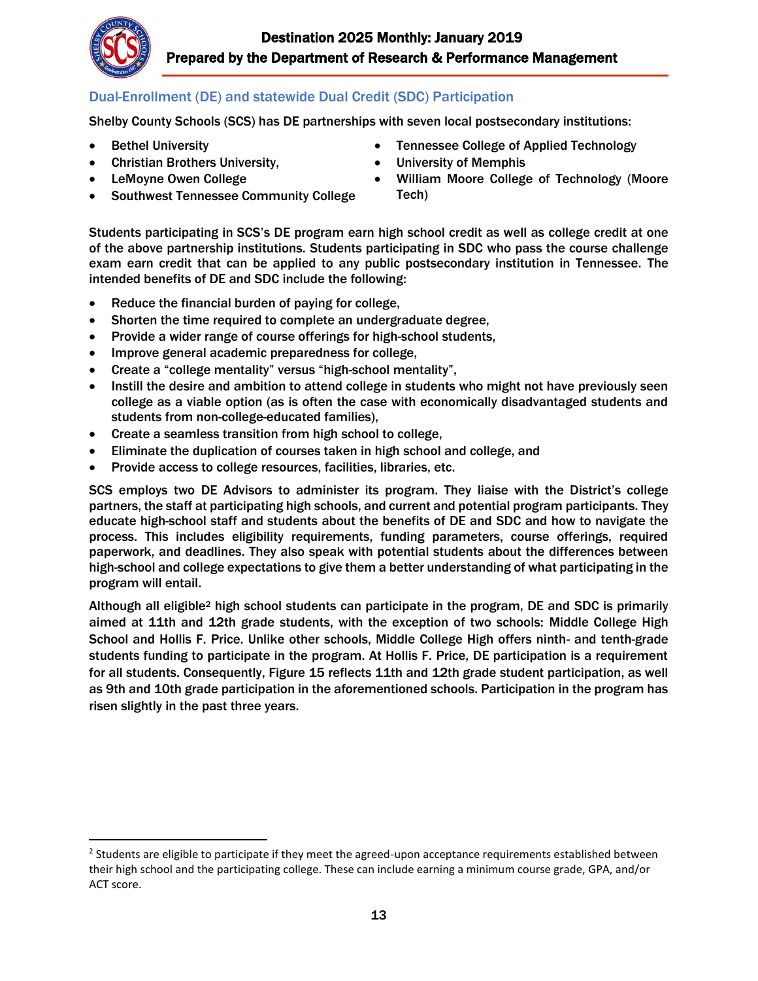

 $\overline{\phantom{a}}$ 

## Dual-Enrollment (DE) and statewide Dual Credit (SDC) Participation

Shelby County Schools (SCS) has DE partnerships with seven local postsecondary institutions:

- Bethel University
- Christian Brothers University,
- LeMoyne Owen College
- Southwest Tennessee Community College
- Tennessee College of Applied Technology
- University of Memphis
- William Moore College of Technology (Moore Tech)

Students participating in SCS's DE program earn high school credit as well as college credit at one of the above partnership institutions. Students participating in SDC who pass the course challenge exam earn credit that can be applied to any public postsecondary institution in Tennessee. The intended benefits of DE and SDC include the following:

- Reduce the financial burden of paying for college,
- Shorten the time required to complete an undergraduate degree,
- Provide a wider range of course offerings for high-school students,
- Improve general academic preparedness for college,
- Create a "college mentality" versus "high-school mentality",
- Instill the desire and ambition to attend college in students who might not have previously seen college as a viable option (as is often the case with economically disadvantaged students and students from non-college-educated families),
- Create a seamless transition from high school to college,
- Eliminate the duplication of courses taken in high school and college, and
- Provide access to college resources, facilities, libraries, etc.

SCS employs two DE Advisors to administer its program. They liaise with the District's college partners, the staff at participating high schools, and current and potential program participants. They educate high-school staff and students about the benefits of DE and SDC and how to navigate the process. This includes eligibility requirements, funding parameters, course offerings, required paperwork, and deadlines. They also speak with potential students about the differences between high-school and college expectations to give them a better understanding of what participating in the program will entail.

Although all eligible<sup>2</sup> high school students can participate in the program, DE and SDC is primarily aimed at 11th and 12th grade students, with the exception of two schools: Middle College High School and Hollis F. Price. Unlike other schools, Middle College High offers ninth- and tenth-grade students funding to participate in the program. At Hollis F. Price, DE participation is a requirement for all students. Consequently, Figure 15 reflects 11th and 12th grade student participation, as well as 9th and 10th grade participation in the aforementioned schools. Participation in the program has risen slightly in the past three years.

 $2$  Students are eligible to participate if they meet the agreed-upon acceptance requirements established between their high school and the participating college. These can include earning a minimum course grade, GPA, and/or ACT score.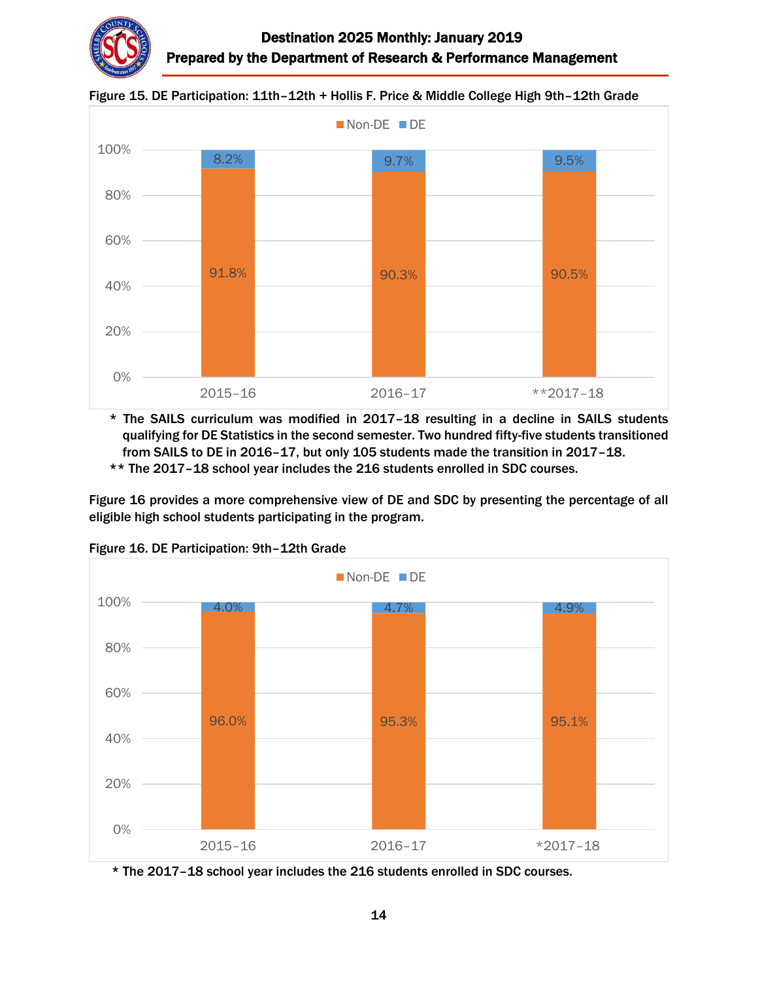



Figure 15. DE Participation: 11th–12th + Hollis F. Price & Middle College High 9th–12th Grade

\* The SAILS curriculum was modified in 2017–18 resulting in a decline in SAILS students qualifying for DE Statistics in the second semester. Two hundred fifty-five students transitioned from SAILS to DE in 2016–17, but only 105 students made the transition in 2017–18. \*\* The 2017–18 school year includes the 216 students enrolled in SDC courses.

Figure 16 provides a more comprehensive view of DE and SDC by presenting the percentage of all eligible high school students participating in the program.



Figure 16. DE Participation: 9th–12th Grade

\* The 2017–18 school year includes the 216 students enrolled in SDC courses.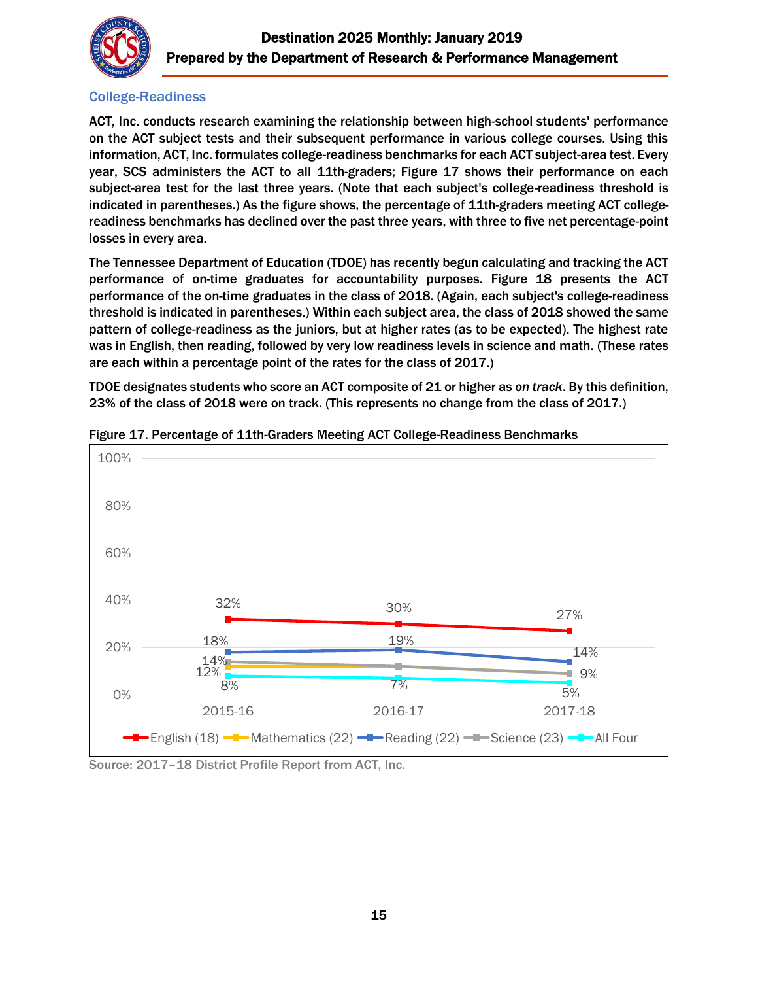

## College-Readiness

ACT, Inc. conducts research examining the relationship between high-school students' performance on the ACT subject tests and their subsequent performance in various college courses. Using this information, ACT, Inc. formulates college-readiness benchmarks for each ACT subject-area test. Every year, SCS administers the ACT to all 11th-graders; Figure 17 shows their performance on each subject-area test for the last three years. (Note that each subject's college-readiness threshold is indicated in parentheses.) As the figure shows, the percentage of 11th-graders meeting ACT collegereadiness benchmarks has declined over the past three years, with three to five net percentage-point losses in every area.

The Tennessee Department of Education (TDOE) has recently begun calculating and tracking the ACT performance of on-time graduates for accountability purposes. Figure 18 presents the ACT performance of the on-time graduates in the class of 2018. (Again, each subject's college-readiness threshold is indicated in parentheses.) Within each subject area, the class of 2018 showed the same pattern of college-readiness as the juniors, but at higher rates (as to be expected). The highest rate was in English, then reading, followed by very low readiness levels in science and math. (These rates are each within a percentage point of the rates for the class of 2017.)

TDOE designates students who score an ACT composite of 21 or higher as *on track*. By this definition, 23% of the class of 2018 were on track. (This represents no change from the class of 2017.)



Figure 17. Percentage of 11th-Graders Meeting ACT College-Readiness Benchmarks

Source: 2017–18 District Profile Report from ACT, Inc.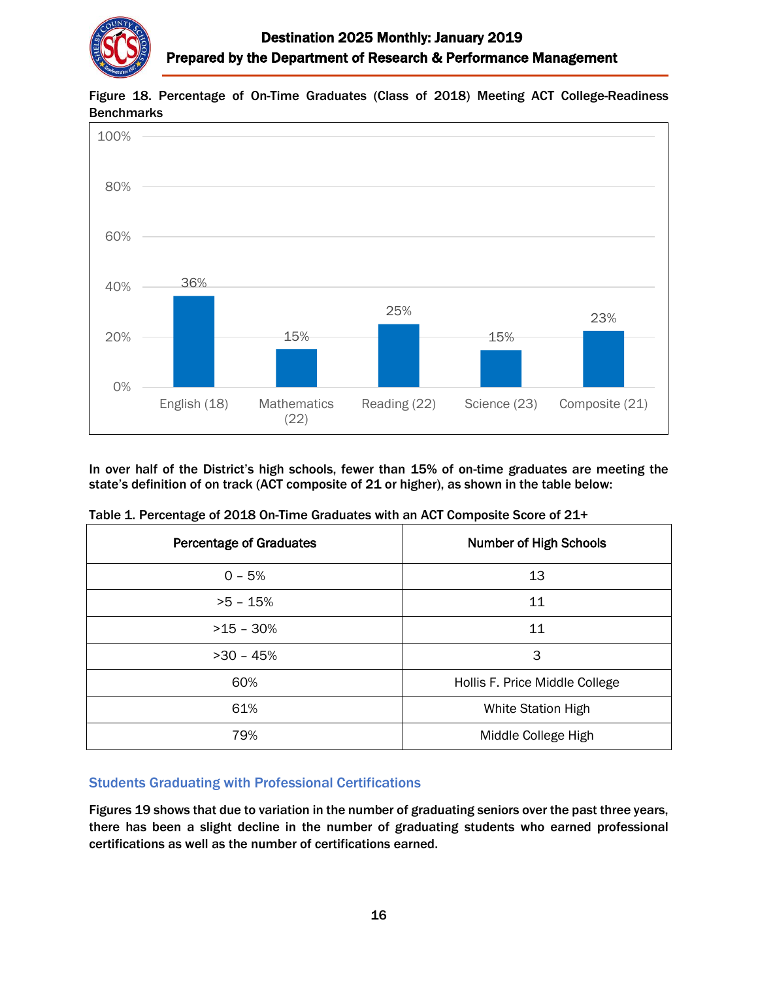



Figure 18. Percentage of On-Time Graduates (Class of 2018) Meeting ACT College-Readiness **Benchmarks** 

In over half of the District's high schools, fewer than 15% of on-time graduates are meeting the state's definition of on track (ACT composite of 21 or higher), as shown in the table below:

| <b>Percentage of Graduates</b> | <b>Number of High Schools</b>  |  |  |  |
|--------------------------------|--------------------------------|--|--|--|
| $0 - 5%$                       | 13                             |  |  |  |
| $>5 - 15%$                     | 11                             |  |  |  |
| $>15 - 30\%$                   | 11                             |  |  |  |
| $>30 - 45%$                    | 3                              |  |  |  |
| 60%                            | Hollis F. Price Middle College |  |  |  |
| 61%                            | White Station High             |  |  |  |
| 79%                            | Middle College High            |  |  |  |

Table 1. Percentage of 2018 On-Time Graduates with an ACT Composite Score of 21+

#### Students Graduating with Professional Certifications

Figures 19 shows that due to variation in the number of graduating seniors over the past three years, there has been a slight decline in the number of graduating students who earned professional certifications as well as the number of certifications earned.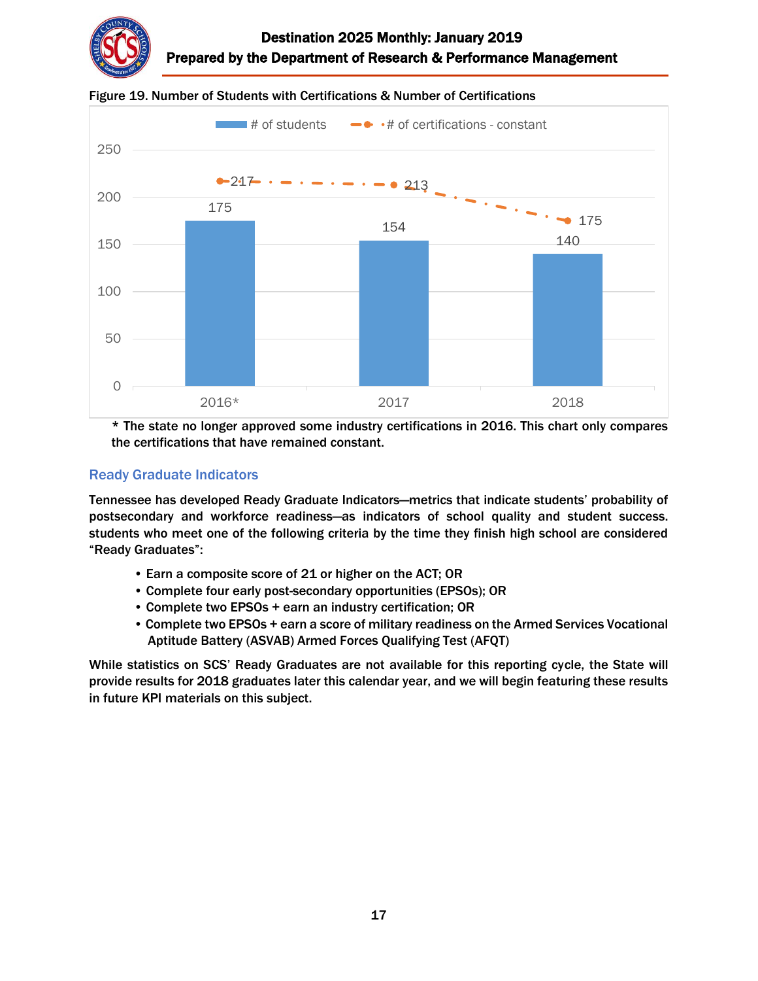





\* The state no longer approved some industry certifications in 2016. This chart only compares the certifications that have remained constant.

## Ready Graduate Indicators

Tennessee has developed Ready Graduate Indicators—metrics that indicate students' probability of postsecondary and workforce readiness—as indicators of school quality and student success. students who meet one of the following criteria by the time they finish high school are considered "Ready Graduates":

- Earn a composite score of 21 or higher on the ACT; OR
- Complete four early post-secondary opportunities (EPSOs); OR
- Complete two EPSOs + earn an industry certification; OR
- Complete two EPSOs + earn a score of military readiness on the Armed Services Vocational Aptitude Battery (ASVAB) Armed Forces Qualifying Test (AFQT)

While statistics on SCS' Ready Graduates are not available for this reporting cycle, the State will provide results for 2018 graduates later this calendar year, and we will begin featuring these results in future KPI materials on this subject.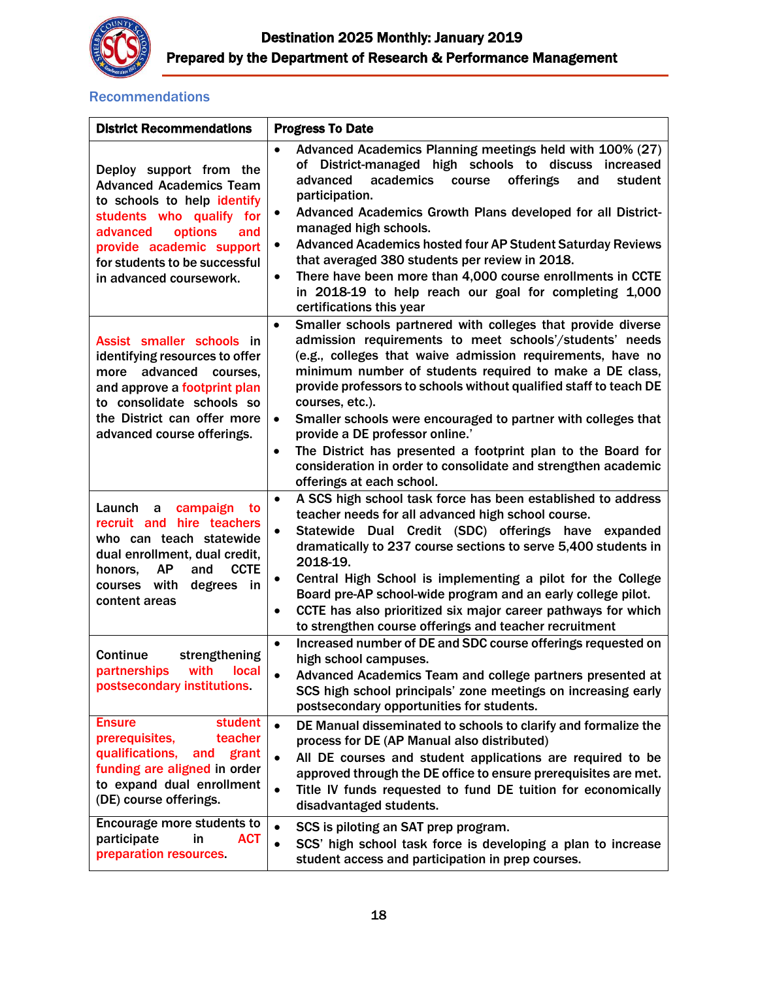

## **Recommendations**

| <b>District Recommendations</b>                                                                                                                                                                                                            | <b>Progress To Date</b>                                                                                                                                                                                                                                                                                                                                                                                                                                                                                                                                                                                                                           |
|--------------------------------------------------------------------------------------------------------------------------------------------------------------------------------------------------------------------------------------------|---------------------------------------------------------------------------------------------------------------------------------------------------------------------------------------------------------------------------------------------------------------------------------------------------------------------------------------------------------------------------------------------------------------------------------------------------------------------------------------------------------------------------------------------------------------------------------------------------------------------------------------------------|
| Deploy support from the<br><b>Advanced Academics Team</b><br>to schools to help identify<br>students who qualify for<br>options<br>advanced<br>and<br>provide academic support<br>for students to be successful<br>in advanced coursework. | Advanced Academics Planning meetings held with 100% (27)<br>$\bullet$<br>of District-managed high schools to discuss<br>increased<br>academics<br>offerings<br>advanced<br>course<br>and<br>student<br>participation.<br>Advanced Academics Growth Plans developed for all District-<br>$\bullet$<br>managed high schools.<br><b>Advanced Academics hosted four AP Student Saturday Reviews</b><br>$\bullet$<br>that averaged 380 students per review in 2018.<br>There have been more than 4,000 course enrollments in CCTE<br>$\bullet$<br>in 2018-19 to help reach our goal for completing 1,000<br>certifications this year                   |
| Assist smaller schools in<br>identifying resources to offer<br>more advanced courses,<br>and approve a footprint plan<br>to consolidate schools so<br>the District can offer more<br>advanced course offerings.                            | Smaller schools partnered with colleges that provide diverse<br>$\bullet$<br>admission requirements to meet schools'/students' needs<br>(e.g., colleges that waive admission requirements, have no<br>minimum number of students required to make a DE class,<br>provide professors to schools without qualified staff to teach DE<br>courses, etc.).<br>Smaller schools were encouraged to partner with colleges that<br>$\bullet$<br>provide a DE professor online.'<br>The District has presented a footprint plan to the Board for<br>$\bullet$<br>consideration in order to consolidate and strengthen academic<br>offerings at each school. |
| campaign<br>Launch<br>a<br>to<br>recruit and hire teachers<br>who can teach statewide<br>dual enrollment, dual credit,<br><b>AP</b><br><b>CCTE</b><br>and<br>honors,<br>degrees in<br>courses with<br>content areas                        | A SCS high school task force has been established to address<br>$\bullet$<br>teacher needs for all advanced high school course.<br>Statewide Dual Credit (SDC) offerings have expanded<br>$\bullet$<br>dramatically to 237 course sections to serve 5,400 students in<br>2018-19.<br>Central High School is implementing a pilot for the College<br>$\bullet$<br>Board pre-AP school-wide program and an early college pilot.<br>CCTE has also prioritized six major career pathways for which<br>$\bullet$<br>to strengthen course offerings and teacher recruitment                                                                             |
| Continue<br>strengthening<br>with<br>partnerships<br>local<br>postsecondary institutions.                                                                                                                                                  | Increased number of DE and SDC course offerings requested on<br>$\bullet$<br>high school campuses.<br>Advanced Academics Team and college partners presented at<br>SCS high school principals' zone meetings on increasing early<br>postsecondary opportunities for students.                                                                                                                                                                                                                                                                                                                                                                     |
| <b>Ensure</b><br>student<br>prerequisites,<br>teacher<br>qualifications,<br>grant<br>and<br>funding are aligned in order<br>to expand dual enrollment<br>(DE) course offerings.                                                            | DE Manual disseminated to schools to clarify and formalize the<br>$\bullet$<br>process for DE (AP Manual also distributed)<br>All DE courses and student applications are required to be<br>$\bullet$<br>approved through the DE office to ensure prerequisites are met.<br>Title IV funds requested to fund DE tuition for economically<br>$\bullet$<br>disadvantaged students.                                                                                                                                                                                                                                                                  |
| Encourage more students to<br>participate<br>in<br><b>ACT</b><br>preparation resources.                                                                                                                                                    | $\bullet$<br>SCS is piloting an SAT prep program.<br>SCS' high school task force is developing a plan to increase<br>$\bullet$<br>student access and participation in prep courses.                                                                                                                                                                                                                                                                                                                                                                                                                                                               |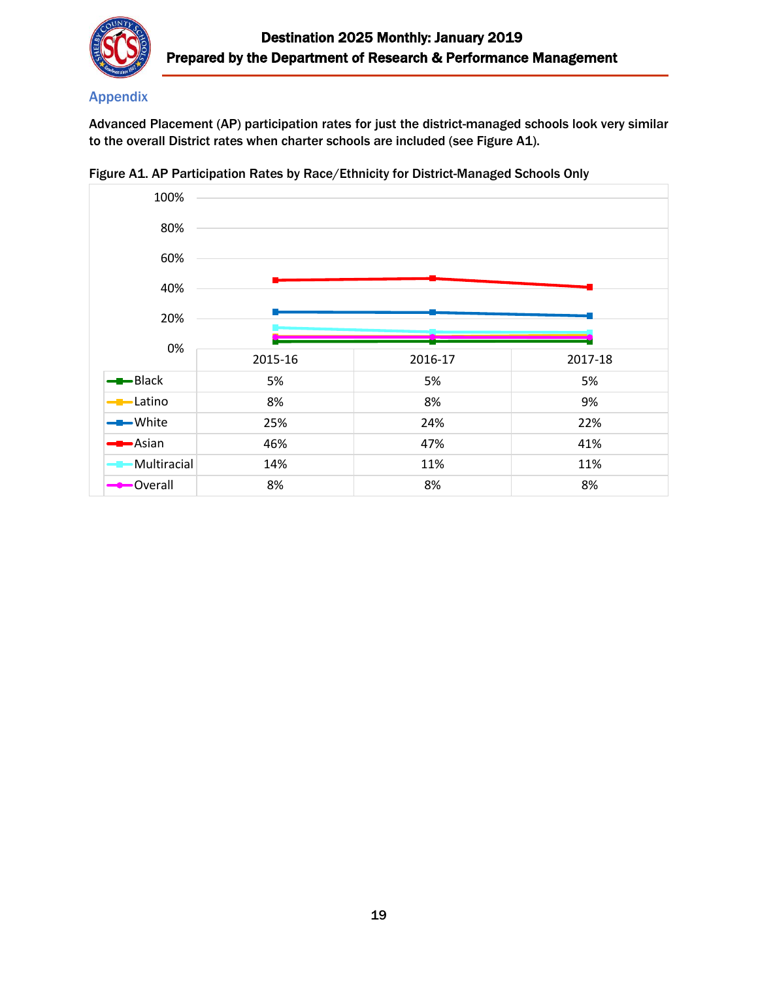

## Appendix

Advanced Placement (AP) participation rates for just the district-managed schools look very similar to the overall District rates when charter schools are included (see Figure A1).



Figure A1. AP Participation Rates by Race/Ethnicity for District-Managed Schools Only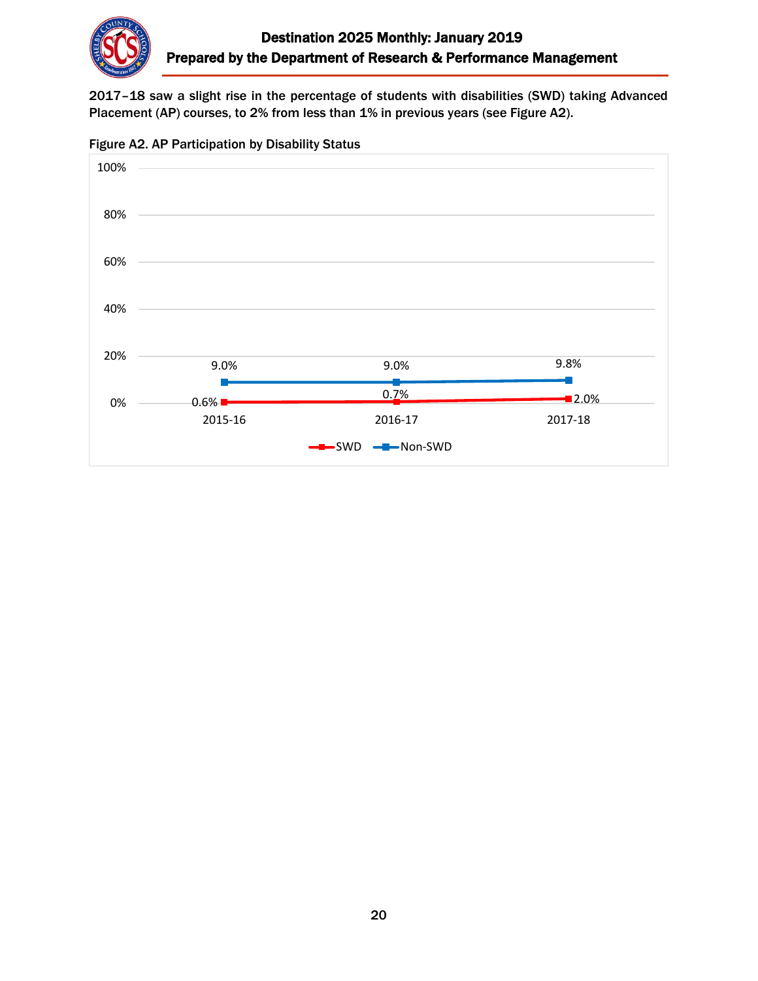

2017–18 saw a slight rise in the percentage of students with disabilities (SWD) taking Advanced Placement (AP) courses, to 2% from less than 1% in previous years (see Figure A2).



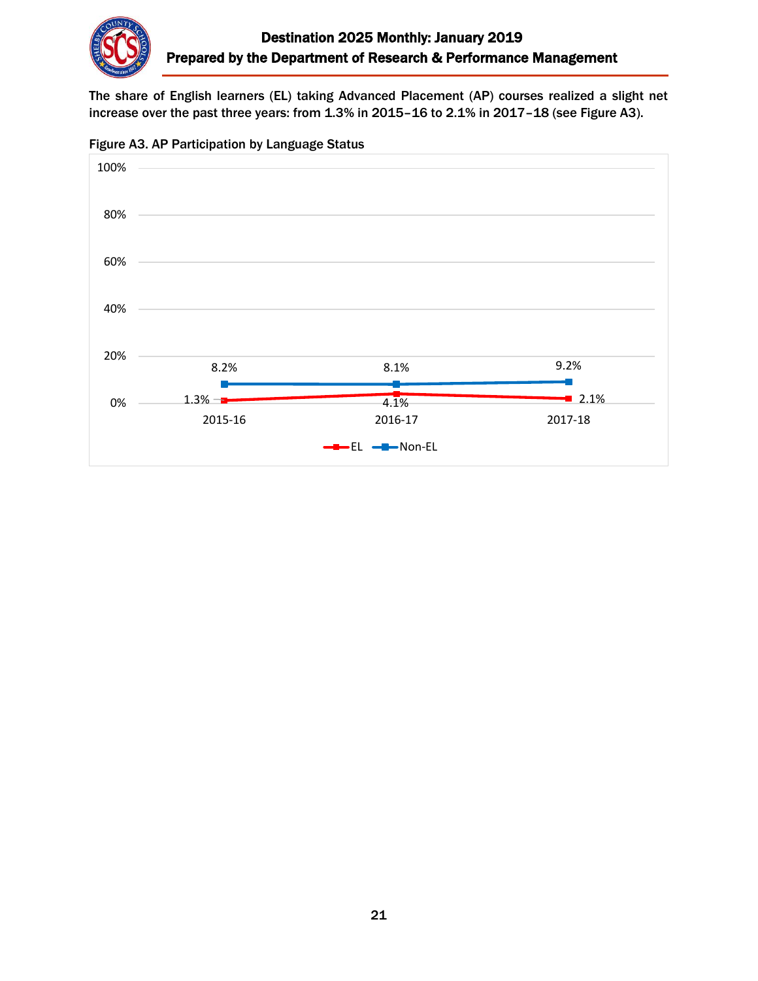

The share of English learners (EL) taking Advanced Placement (AP) courses realized a slight net increase over the past three years: from 1.3% in 2015–16 to 2.1% in 2017–18 (see Figure A3).